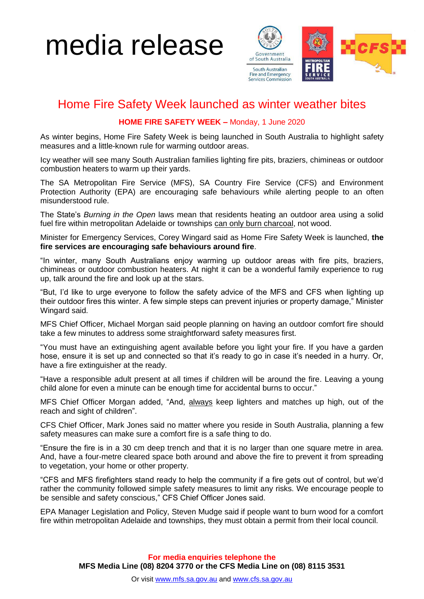# media release



### Home Fire Safety Week launched as winter weather bites

### **HOME FIRE SAFETY WEEK –** Monday, 1 June 2020

As winter begins, Home Fire Safety Week is being launched in South Australia to highlight safety measures and a little-known rule for warming outdoor areas.

Icy weather will see many South Australian families lighting fire pits, braziers, chimineas or outdoor combustion heaters to warm up their yards.

The SA Metropolitan Fire Service (MFS), SA Country Fire Service (CFS) and Environment Protection Authority (EPA) are encouraging safe behaviours while alerting people to an often misunderstood rule.

The State's *Burning in the Open* laws mean that residents heating an outdoor area using a solid fuel fire within metropolitan Adelaide or townships can only burn charcoal, not wood.

Minister for Emergency Services, Corey Wingard said as Home Fire Safety Week is launched, **the fire services are encouraging safe behaviours around fire**.

"In winter, many South Australians enjoy warming up outdoor areas with fire pits, braziers, chimineas or outdoor combustion heaters. At night it can be a wonderful family experience to rug up, talk around the fire and look up at the stars.

"But, I'd like to urge everyone to follow the safety advice of the MFS and CFS when lighting up their outdoor fires this winter. A few simple steps can prevent injuries or property damage," Minister Wingard said.

MFS Chief Officer, Michael Morgan said people planning on having an outdoor comfort fire should take a few minutes to address some straightforward safety measures first.

"You must have an extinguishing agent available before you light your fire. If you have a garden hose, ensure it is set up and connected so that it's ready to go in case it's needed in a hurry. Or, have a fire extinguisher at the ready.

"Have a responsible adult present at all times if children will be around the fire. Leaving a young child alone for even a minute can be enough time for accidental burns to occur."

MFS Chief Officer Morgan added, "And, always keep lighters and matches up high, out of the reach and sight of children".

CFS Chief Officer, Mark Jones said no matter where you reside in South Australia, planning a few safety measures can make sure a comfort fire is a safe thing to do.

"Ensure the fire is in a 30 cm deep trench and that it is no larger than one square metre in area. And, have a four-metre cleared space both around and above the fire to prevent it from spreading to vegetation, your home or other property.

"CFS and MFS firefighters stand ready to help the community if a fire gets out of control, but we'd rather the community followed simple safety measures to limit any risks. We encourage people to be sensible and safety conscious," CFS Chief Officer Jones said.

EPA Manager Legislation and Policy, Steven Mudge said if people want to burn wood for a comfort fire within metropolitan Adelaide and townships, they must obtain a permit from their local council.